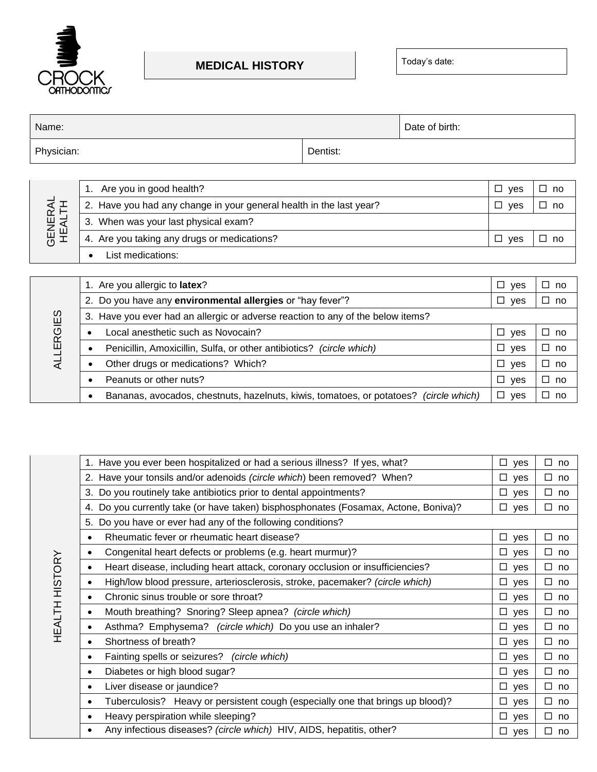

• List medications:

## **MEDICAL HISTORY** Today's date:

| Name:                                       |                                                                     |          | Date of birth: |                    |              |
|---------------------------------------------|---------------------------------------------------------------------|----------|----------------|--------------------|--------------|
| Physician:                                  |                                                                     | Dentist: |                |                    |              |
|                                             |                                                                     |          |                |                    |              |
|                                             | Are you in good health?                                             |          |                | $\square$ yes      | $\square$ no |
|                                             | 2. Have you had any change in your general health in the last year? |          |                | $\Box$<br>yes      | $\square$ no |
| <b>GENERAL</b><br>HEALTH                    | 3. When was your last physical exam?                                |          |                |                    |              |
| 4. Are you taking any drugs or medications? |                                                                     |          | $\Box$<br>ves  | ┓<br><sub>no</sub> |              |

|                  | 1. Are you allergic to latex?                                                         | $\Box$<br>yes | □<br>no |
|------------------|---------------------------------------------------------------------------------------|---------------|---------|
|                  | 2. Do you have any environmental allergies or "hay fever"?                            | $\Box$<br>yes | □<br>no |
|                  | 3. Have you ever had an allergic or adverse reaction to any of the below items?       |               |         |
| <b>ALLERGIES</b> | Local anesthetic such as Novocain?                                                    | $\Box$ yes    | □<br>no |
|                  | Penicillin, Amoxicillin, Sulfa, or other antibiotics? (circle which)                  | $\Box$<br>ves | □<br>no |
|                  | Other drugs or medications? Which?                                                    | $\Box$ yes    | □<br>no |
|                  | Peanuts or other nuts?                                                                | $\Box$ yes    | □<br>no |
|                  | Bananas, avocados, chestnuts, hazelnuts, kiwis, tomatoes, or potatoes? (circle which) | $\Box$ yes    | □<br>no |

| 1. Have you ever been hospitalized or had a serious illness? If yes, what?                  | $\square$ yes | $\Box$<br>no |
|---------------------------------------------------------------------------------------------|---------------|--------------|
| 2. Have your tonsils and/or adenoids (circle which) been removed? When?                     | $\square$ yes | $\Box$<br>no |
| 3. Do you routinely take antibiotics prior to dental appointments?                          | $\square$ yes | □<br>no      |
| 4. Do you currently take (or have taken) bisphosphonates (Fosamax, Actone, Boniva)?         | $\square$ yes | $\Box$<br>no |
| 5. Do you have or ever had any of the following conditions?                                 |               |              |
| Rheumatic fever or rheumatic heart disease?<br>$\bullet$                                    | $\square$ yes | $\Box$<br>no |
| Congenital heart defects or problems (e.g. heart murmur)?<br>$\bullet$                      | $\square$ yes | $\Box$<br>no |
| Heart disease, including heart attack, coronary occlusion or insufficiencies?<br>$\bullet$  | $\square$ yes | $\square$ no |
| High/low blood pressure, arteriosclerosis, stroke, pacemaker? (circle which)<br>$\bullet$   | $\square$ yes | $\Box$<br>no |
| Chronic sinus trouble or sore throat?<br>$\bullet$                                          | $\square$ yes | $\square$ no |
| Mouth breathing? Snoring? Sleep apnea? (circle which)<br>$\bullet$                          | $\square$ yes | $\Box$<br>no |
| Asthma? Emphysema? (circle which) Do you use an inhaler?<br>$\bullet$                       | $\square$ yes | $\square$ no |
| Shortness of breath?<br>$\bullet$                                                           | $\square$ yes | $\Box$<br>no |
| Fainting spells or seizures? (circle which)<br>$\bullet$                                    | $\square$ yes | $\Box$<br>no |
| Diabetes or high blood sugar?<br>$\bullet$                                                  | $\square$ yes | $\Box$<br>no |
| Liver disease or jaundice?<br>$\bullet$                                                     | $\square$ yes | □<br>no      |
| Tuberculosis? Heavy or persistent cough (especially one that brings up blood)?<br>$\bullet$ | $\Box$ yes    | $\Box$<br>no |
| Heavy perspiration while sleeping?<br>$\bullet$                                             | $\square$ yes | $\Box$<br>no |
| Any infectious diseases? (circle which) HIV, AIDS, hepatitis, other?<br>$\bullet$           | $\square$ yes | $\Box$<br>no |